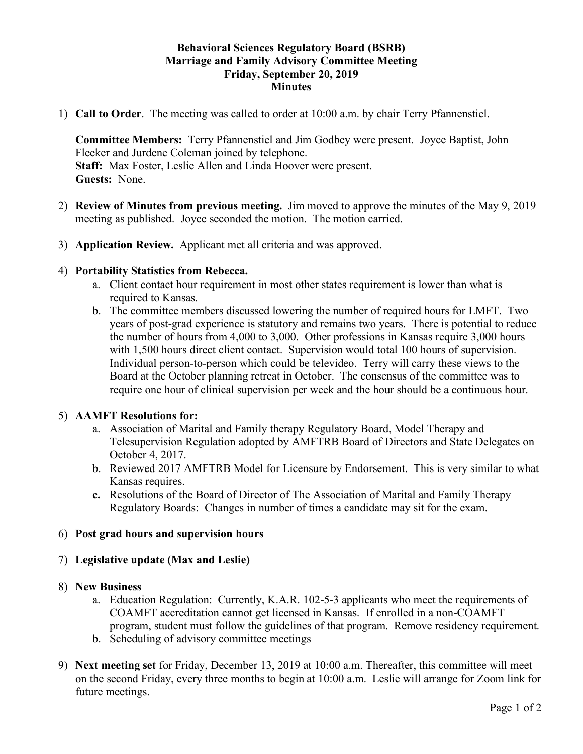# **Behavioral Sciences Regulatory Board (BSRB) Marriage and Family Advisory Committee Meeting Friday, September 20, 2019 Minutes**

1) **Call to Order**. The meeting was called to order at 10:00 a.m. by chair Terry Pfannenstiel.

**Committee Members:** Terry Pfannenstiel and Jim Godbey were present. Joyce Baptist, John Fleeker and Jurdene Coleman joined by telephone. **Staff:** Max Foster, Leslie Allen and Linda Hoover were present. **Guests:** None.

- 2) **Review of Minutes from previous meeting.** Jim moved to approve the minutes of the May 9, 2019 meeting as published. Joyce seconded the motion. The motion carried.
- 3) **Application Review.** Applicant met all criteria and was approved.

### 4) **Portability Statistics from Rebecca.**

- a. Client contact hour requirement in most other states requirement is lower than what is required to Kansas.
- b. The committee members discussed lowering the number of required hours for LMFT. Two years of post-grad experience is statutory and remains two years. There is potential to reduce the number of hours from 4,000 to 3,000. Other professions in Kansas require 3,000 hours with 1,500 hours direct client contact. Supervision would total 100 hours of supervision. Individual person-to-person which could be televideo. Terry will carry these views to the Board at the October planning retreat in October. The consensus of the committee was to require one hour of clinical supervision per week and the hour should be a continuous hour.

# 5) **AAMFT Resolutions for:**

- a. Association of Marital and Family therapy Regulatory Board, Model Therapy and Telesupervision Regulation adopted by AMFTRB Board of Directors and State Delegates on October 4, 2017.
- b. Reviewed 2017 AMFTRB Model for Licensure by Endorsement. This is very similar to what Kansas requires.
- **c.** Resolutions of the Board of Director of The Association of Marital and Family Therapy Regulatory Boards: Changes in number of times a candidate may sit for the exam.

# 6) **Post grad hours and supervision hours**

# 7) **Legislative update (Max and Leslie)**

### 8) **New Business**

- a. Education Regulation: Currently, K.A.R. 102-5-3 applicants who meet the requirements of COAMFT accreditation cannot get licensed in Kansas. If enrolled in a non-COAMFT program, student must follow the guidelines of that program. Remove residency requirement.
- b. Scheduling of advisory committee meetings
- 9) **Next meeting set** for Friday, December 13, 2019 at 10:00 a.m. Thereafter, this committee will meet on the second Friday, every three months to begin at 10:00 a.m. Leslie will arrange for Zoom link for future meetings.